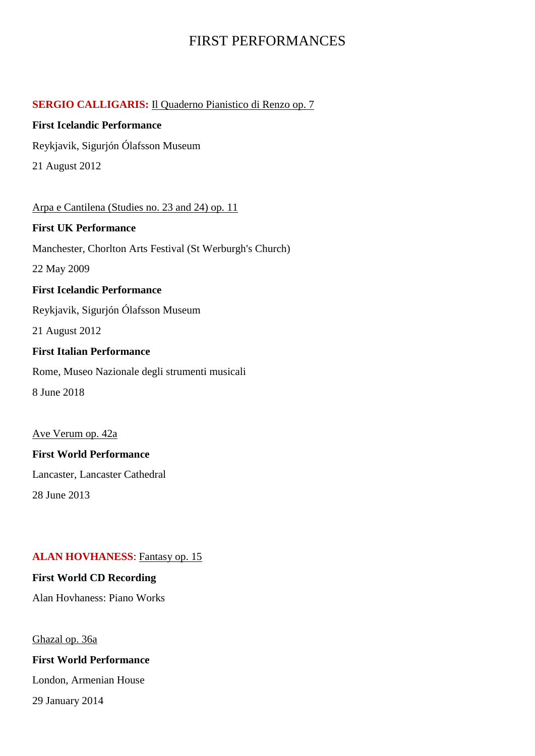# FIRST PERFORMANCES

## **SERGIO CALLIGARIS:** Il Quaderno Pianistico di Renzo op. 7

## **First Icelandic Performance**

Reykjavik, Sigurjón Ólafsson Museum

21 August 2012

Arpa e Cantilena (Studies no. 23 and 24) op. 11 **First UK Performance** Manchester, Chorlton Arts Festival (St Werburgh's Church) 22 May 2009 **First Icelandic Performance** Reykjavik, Sigurjón Ólafsson Museum 21 August 2012 **First Italian Performance** Rome, Museo Nazionale degli strumenti musicali 8 June 2018

# Ave Verum op. 42a **First World Performance**

Lancaster, Lancaster Cathedral

28 June 2013

## **ALAN HOVHANESS**: Fantasy op. 15

## **First World CD Recording**

Alan Hovhaness: Piano Works

Ghazal op. 36a

## **First World Performance**

London, Armenian House

29 January 2014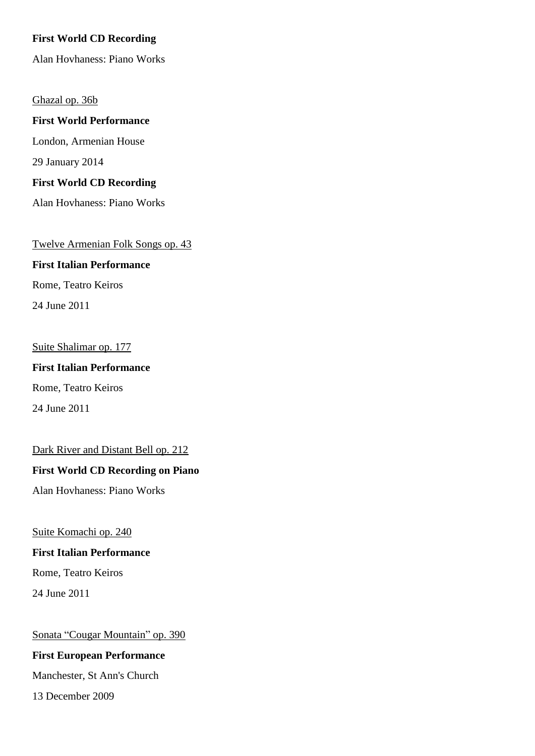### **First World CD Recording**

Alan Hovhaness: Piano Works

#### Ghazal op. 36b

**First World Performance** London, Armenian House 29 January 2014

# **First World CD Recording**

Alan Hovhaness: Piano Works

#### Twelve Armenian Folk Songs op. 43

# **First Italian Performance**

Rome, Teatro Keiros

24 June 2011

#### Suite Shalimar op. 177

**First Italian Performance** Rome, Teatro Keiros

24 June 2011

### Dark River and Distant Bell op. 212

#### **First World CD Recording on Piano**

Alan Hovhaness: Piano Works

Suite Komachi op. 240

#### **First Italian Performance**

Rome, Teatro Keiros

24 June 2011

Sonata "Cougar Mountain" op. 390

## **First European Performance**

Manchester, St Ann's Church

13 December 2009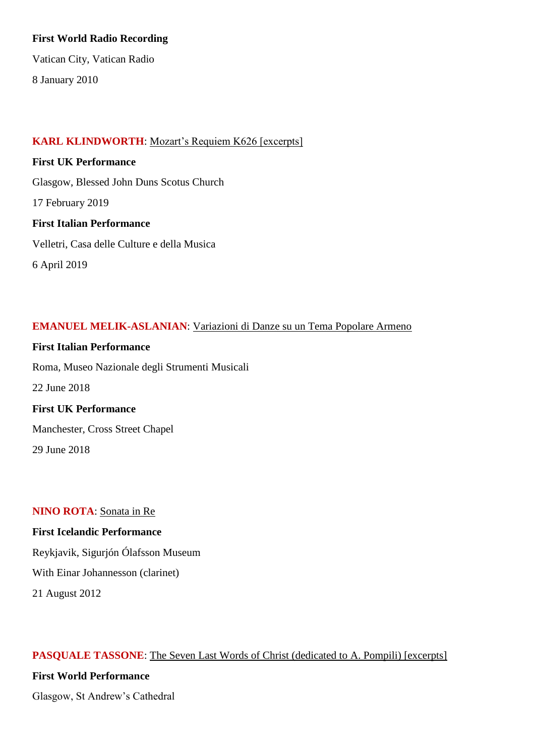### **First World Radio Recording**

Vatican City, Vatican Radio

8 January 2010

## **KARL KLINDWORTH**: Mozart's Requiem K626 [excerpts]

**First UK Performance** Glasgow, Blessed John Duns Scotus Church 17 February 2019 **First Italian Performance** Velletri, Casa delle Culture e della Musica 6 April 2019

## **EMANUEL MELIK-ASLANIAN**: Variazioni di Danze su un Tema Popolare Armeno

**First Italian Performance** Roma, Museo Nazionale degli Strumenti Musicali 22 June 2018 **First UK Performance** Manchester, Cross Street Chapel

29 June 2018

#### **NINO ROTA**: Sonata in Re

## **First Icelandic Performance**

Reykjavik, Sigurjón Ólafsson Museum

With Einar Johannesson (clarinet)

21 August 2012

## **PASQUALE TASSONE**: The Seven Last Words of Christ (dedicated to A. Pompili) [excerpts]

## **First World Performance**

Glasgow, St Andrew's Cathedral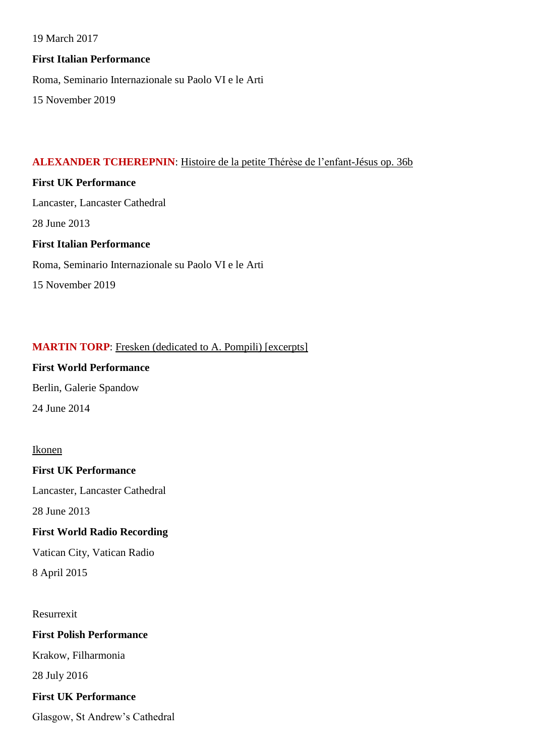19 March 2017

## **First Italian Performance**

Roma, Seminario Internazionale su Paolo VI e le Arti

15 November 2019

# **ALEXANDER TCHEREPNIN**: Histoire de la petite Thérèse de l'enfant-Jésus op. 36b

## **First UK Performance**

Lancaster, Lancaster Cathedral

28 June 2013

# **First Italian Performance**

Roma, Seminario Internazionale su Paolo VI e le Arti

15 November 2019

# **MARTIN TORP**: Fresken (dedicated to A. Pompili) [excerpts]

# **First World Performance**

Berlin, Galerie Spandow 24 June 2014

# Ikonen

**First UK Performance**

Lancaster, Lancaster Cathedral

28 June 2013

# **First World Radio Recording**

Vatican City, Vatican Radio

8 April 2015

Resurrexit

# **First Polish Performance**

Krakow, Filharmonia

28 July 2016

# **First UK Performance**

Glasgow, St Andrew's Cathedral